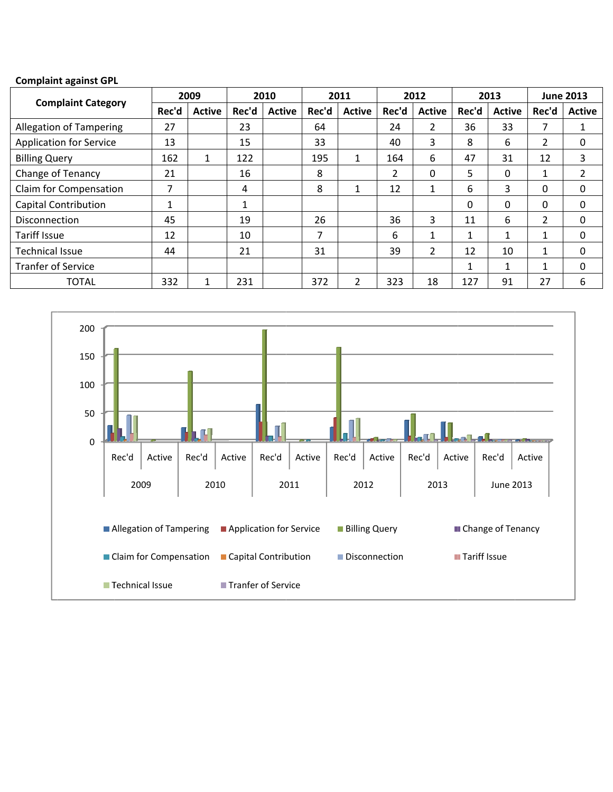#### **Complain nt against GPL**

| <b>Complaint against GPL</b>   |       |               |       |               |       |                |                |                |       |               |                  |               |
|--------------------------------|-------|---------------|-------|---------------|-------|----------------|----------------|----------------|-------|---------------|------------------|---------------|
|                                | 2009  |               | 2010  |               | 2011  |                | 2012           |                | 2013  |               | <b>June 2013</b> |               |
| <b>Complaint Category</b>      | Rec'd | <b>Active</b> | Rec'd | <b>Active</b> | Rec'd | <b>Active</b>  | Rec'd          | <b>Active</b>  | Rec'd | <b>Active</b> | Rec'd            | <b>Active</b> |
| <b>Allegation of Tampering</b> | 27    |               | 23    |               | 64    |                | 24             | $\overline{2}$ | 36    | 33            | 7                | 1             |
| <b>Application for Service</b> | 13    |               | 15    |               | 33    |                | 40             | 3              | 8     | 6             | 2                | 0             |
| <b>Billing Query</b>           | 162   | 1             | 122   |               | 195   | $\mathbf{1}$   | 164            | 6              | 47    | 31            | 12               | 3             |
| Change of Tenancy              | 21    |               | 16    |               | 8     |                | $\overline{2}$ | 0              | 5     | 0             | 4<br>T.          | 2             |
| Claim for Compensation         | 7     |               | 4     |               | 8     | 1              | 12             |                | 6     | 3             | 0                | 0             |
| <b>Capital Contribution</b>    | 1     |               | 1     |               |       |                |                |                | 0     | 0             | 0                | 0             |
| <b>Disconnection</b>           | 45    |               | 19    |               | 26    |                | 36             | 3              | 11    | 6             | 2                | 0             |
| <b>Tariff Issue</b>            | 12    |               | 10    |               | 7     |                | 6              |                |       | 1             | 1                | 0             |
| <b>Technical Issue</b>         | 44    |               | 21    |               | 31    |                | 39             | $\overline{2}$ | 12    | 10            | $\mathbf{1}$     | 0             |
| <b>Tranfer of Service</b>      |       |               |       |               |       |                |                |                |       | 1             | $\mathbf{1}$     | 0             |
| <b>TOTAL</b>                   | 332   | 1             | 231   |               | 372   | $\overline{2}$ | 323            | 18             | 127   | 91            | 27               | 6             |

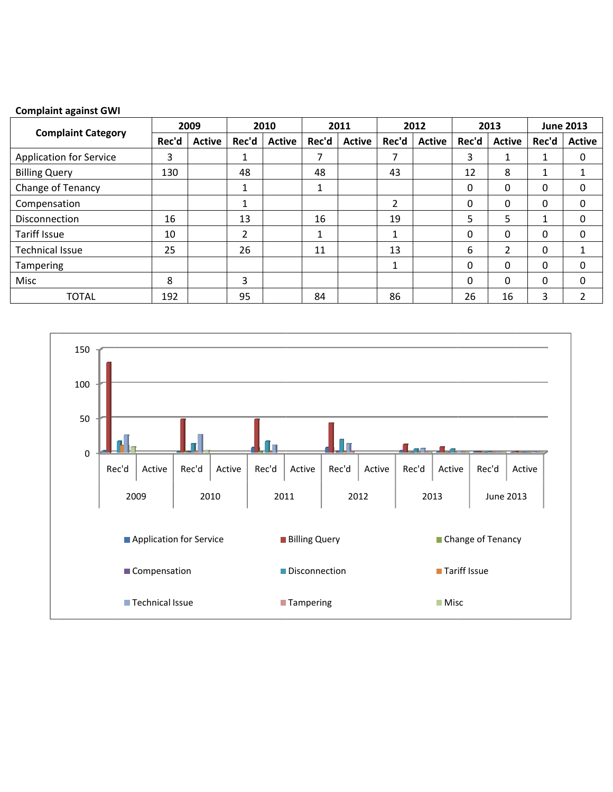### **Complaint against GWI**

|                                | 2009  |               | 2010  |               | 2011    |               | 2012  |               | 2013  |               | <b>June 2013</b>                    |               |
|--------------------------------|-------|---------------|-------|---------------|---------|---------------|-------|---------------|-------|---------------|-------------------------------------|---------------|
| <b>Complaint Category</b>      | Rec'd | <b>Active</b> | Rec'd | <b>Active</b> | Rec'd   | <b>Active</b> | Rec'd | <b>Active</b> | Rec'd | <b>Active</b> | Rec'd<br>1<br>1<br>0<br>0<br>0<br>0 | <b>Active</b> |
| <b>Application for Service</b> | 3     |               | 1     |               | 7       |               | 7     |               | 3     |               |                                     | 0             |
| <b>Billing Query</b>           | 130   |               | 48    |               | 48      |               | 43    |               | 12    | 8             |                                     |               |
| Change of Tenancy              |       |               | 1     |               | 1       |               |       |               | 0     | $\Omega$      |                                     | 0             |
| Compensation                   |       |               | 1     |               |         |               | 2     |               | 0     | 0             |                                     | 0             |
| <b>Disconnection</b>           | 16    |               | 13    |               | 16      |               | 19    |               | 5.    | 5             |                                     | 0             |
| Tariff Issue                   | 10    |               | 2     |               | 1<br>Ŧ. |               | 1     |               | 0     | 0             |                                     | 0             |
| <b>Technical Issue</b>         | 25    |               | 26    |               | 11      |               | 13    |               | 6     | 2             |                                     |               |
| Tampering                      |       |               |       |               |         |               | 1     |               | 0     | $\Omega$      | 0                                   | 0             |
| Misc                           | 8     |               | 3     |               |         |               |       |               | 0     | $\Omega$      | 0                                   | 0             |
| <b>TOTAL</b>                   | 192   |               | 95    |               | 84      |               | 86    |               | 26    | 16            | 3                                   | ำ             |

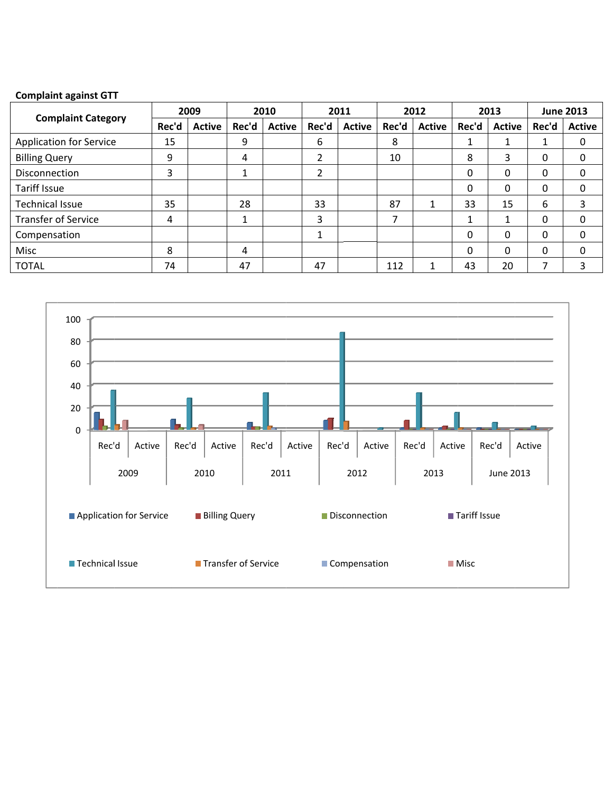### **Complain nt against GTT**

| <b>Complaint against GTT</b>   |       |               |       |               |       |               |       |               |       |               |                                          |               |
|--------------------------------|-------|---------------|-------|---------------|-------|---------------|-------|---------------|-------|---------------|------------------------------------------|---------------|
|                                | 2009  |               | 2010  |               | 2011  |               | 2012  |               | 2013  |               | <b>June 2013</b>                         |               |
| <b>Complaint Category</b>      | Rec'd | <b>Active</b> | Rec'd | <b>Active</b> | Rec'd | <b>Active</b> | Rec'd | <b>Active</b> | Rec'd | <b>Active</b> | Rec'd<br>0<br>0<br>0<br>6<br>0<br>0<br>0 | <b>Active</b> |
| <b>Application for Service</b> | 15    |               | 9     |               | 6     |               | 8     |               |       |               |                                          | 0             |
| <b>Billing Query</b>           | 9     |               | 4     |               | 2     |               | 10    |               | 8     | 3             |                                          | 0             |
| <b>Disconnection</b>           | 3     |               | 1     |               | 2     |               |       |               | 0     | 0             |                                          | 0             |
| <b>Tariff Issue</b>            |       |               |       |               |       |               |       |               | 0     | $\Omega$      |                                          | 0             |
| <b>Technical Issue</b>         | 35    |               | 28    |               | 33    |               | 87    |               | 33    | 15            |                                          | 3             |
| <b>Transfer of Service</b>     | 4     |               | 1     |               | 3     |               | 7     |               |       |               |                                          | 0             |
| Compensation                   |       |               |       |               |       |               |       |               | 0     | 0             |                                          | 0             |
| Misc                           | 8     |               | 4     |               |       |               |       |               | 0     | $\Omega$      |                                          | 0             |
| <b>TOTAL</b>                   | 74    |               | 47    |               | 47    |               | 112   |               | 43    | 20            | ⇁                                        | 3             |

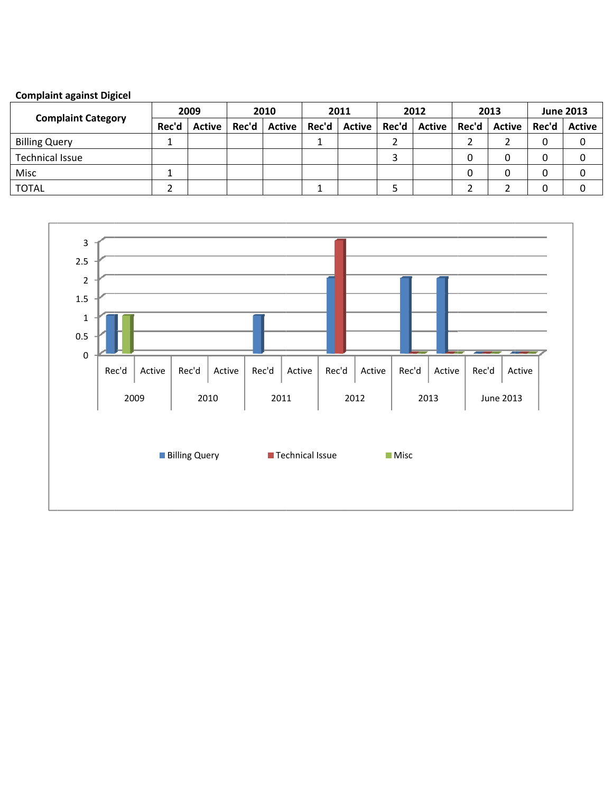# **Complaint against Digicel**

| <b>Complaint Category</b> | 2009  |               | 2010  |               | 2011  |               | 2012  |               | 2013  |               | <b>June 2013</b> |               |
|---------------------------|-------|---------------|-------|---------------|-------|---------------|-------|---------------|-------|---------------|------------------|---------------|
|                           | Rec'd | <b>Active</b> | Rec'd | <b>Active</b> | Rec'd | <b>Active</b> | Rec'd | <b>Active</b> | Rec'd | <b>Active</b> | Rec'd            | <b>Active</b> |
| <b>Billing Query</b>      |       |               |       |               |       |               |       |               |       |               |                  |               |
| <b>Technical Issue</b>    |       |               |       |               |       |               |       |               |       |               |                  |               |
| Misc                      |       |               |       |               |       |               |       |               |       |               |                  |               |
| <b>TOTAL</b>              |       |               |       |               |       |               |       |               |       |               |                  |               |